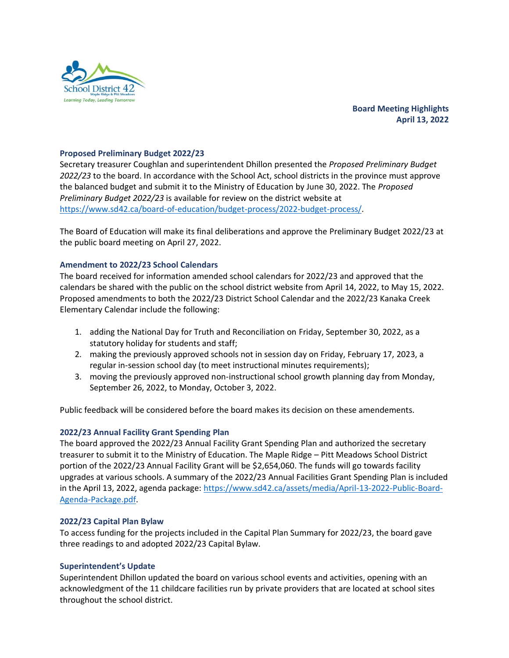

**Board Meeting Highlights April 13, 2022**

# **Proposed Preliminary Budget 2022/23**

Secretary treasurer Coughlan and superintendent Dhillon presented the *Proposed Preliminary Budget 2022/23* to the board. In accordance with the School Act, school districts in the province must approve the balanced budget and submit it to the Ministry of Education by June 30, 2022. The *Proposed Preliminary Budget 2022/23* is available for review on the district website at [https://www.sd42.ca/board-of-education/budget-process/2022-budget-process/.](https://www.sd42.ca/board-of-education/budget-process/2022-budget-process/)

The Board of Education will make its final deliberations and approve the Preliminary Budget 2022/23 at the public board meeting on April 27, 2022.

## **Amendment to 2022/23 School Calendars**

The board received for information amended school calendars for 2022/23 and approved that the calendars be shared with the public on the school district website from April 14, 2022, to May 15, 2022. Proposed amendments to both the 2022/23 District School Calendar and the 2022/23 Kanaka Creek Elementary Calendar include the following:

- 1. adding the National Day for Truth and Reconciliation on Friday, September 30, 2022, as a statutory holiday for students and staff;
- 2. making the previously approved schools not in session day on Friday, February 17, 2023, a regular in-session school day (to meet instructional minutes requirements);
- 3. moving the previously approved non-instructional school growth planning day from Monday, September 26, 2022, to Monday, October 3, 2022.

Public feedback will be considered before the board makes its decision on these amendements.

## **2022/23 Annual Facility Grant Spending Plan**

The board approved the 2022/23 Annual Facility Grant Spending Plan and authorized the secretary treasurer to submit it to the Ministry of Education. The Maple Ridge – Pitt Meadows School District portion of the 2022/23 Annual Facility Grant will be \$2,654,060. The funds will go towards facility upgrades at various schools. A summary of the 2022/23 Annual Facilities Grant Spending Plan is included in the April 13, 2022, agenda package: [https://www.sd42.ca/assets/media/April-13-2022-Public-Board-](https://www.sd42.ca/assets/media/April-13-2022-Public-Board-Agenda-Package.pdf)[Agenda-Package.pdf.](https://www.sd42.ca/assets/media/April-13-2022-Public-Board-Agenda-Package.pdf)

## **2022/23 Capital Plan Bylaw**

To access funding for the projects included in the Capital Plan Summary for 2022/23, the board gave three readings to and adopted 2022/23 Capital Bylaw.

## **Superintendent's Update**

Superintendent Dhillon updated the board on various school events and activities, opening with an acknowledgment of the 11 childcare facilities run by private providers that are located at school sites throughout the school district.